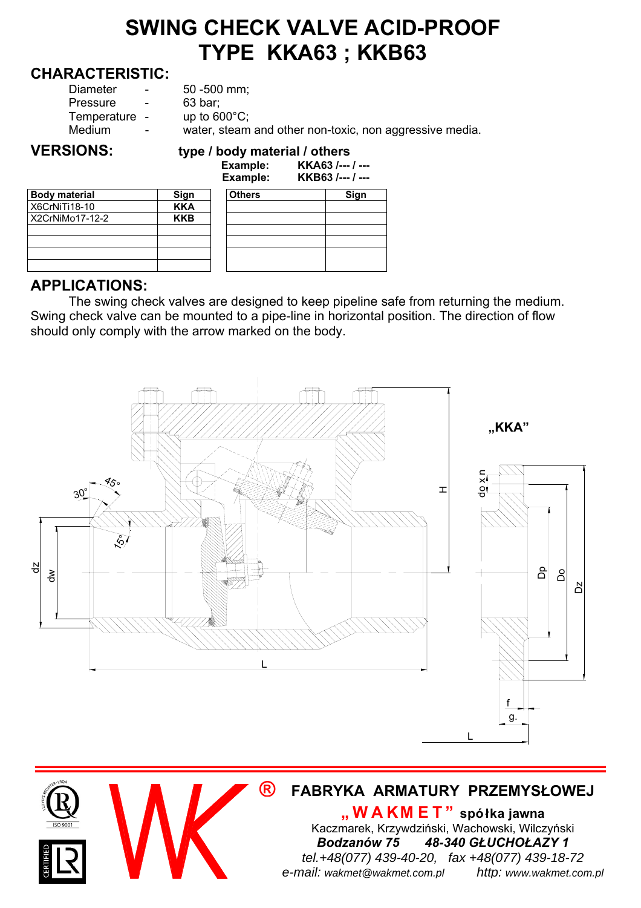## **SWING CHECK VALVE ACID-PROOF TYPE KKA63 ; KKB63**

#### **CHARACTERISTIC:**

| <b>VERSIONS:</b>                                |                            | type / body material / others<br>$E$ <i>vomboloj</i><br><i>VV</i> A CO I                                       |
|-------------------------------------------------|----------------------------|----------------------------------------------------------------------------------------------------------------|
| Diameter<br>Pressure<br>Temperature -<br>Medium | $\sim$<br>$\sim$<br>$\sim$ | $50 - 500$ mm;<br>63 bar;<br>up to $600^{\circ}$ C;<br>water, steam and other non-toxic, non aggressive media. |
|                                                 |                            |                                                                                                                |

# **Body material Sign X6CrNiTi18-10 KKA**<br>X2CrNiMo17-12-2 KKB  $X2CrNiMo17-12-2$

|                      |            | Еханре.<br>Example: | <u>MNADJ /--- / ---</u><br>KKB63 /--- / --- |
|----------------------|------------|---------------------|---------------------------------------------|
| <b>Body material</b> | Sign       | <b>Others</b>       | Sign                                        |
| X6CrNiTi18-10        | <b>KKA</b> |                     |                                             |
| X2CrNiMo17-12-2      | <b>KKB</b> |                     |                                             |
|                      |            |                     |                                             |
|                      |            |                     |                                             |
|                      |            |                     |                                             |

### **APPLICATIONS:**

The swing check valves are designed to keep pipeline safe from returning the medium. Swing check valve can be mounted to a pipe-line in horizontal position. The direction of flow should only comply with the arrow marked on the body.



#### **® FABRYKA ARMATURY PRZEMYSŁOWEJ**

**"WAKM ET" spółka jawna** Kaczmarek, Krzywdziński, Wachowski, Wilczyński *Bodzanów 75 48-340 GŁUCHOŁAZY 1 tel.+48(077) 439-40-20, fax +48(077) 439-18-72 e-mail: wakmet@wakmet.com.pl http: www.wakmet.com.pl*